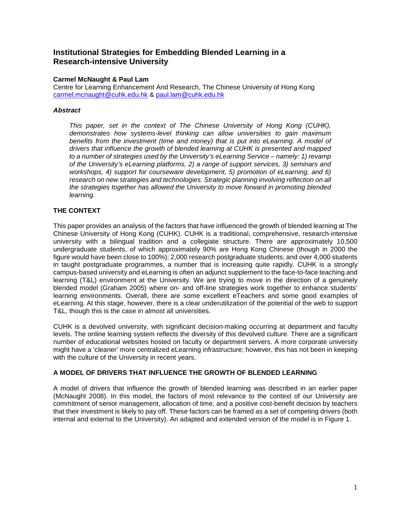# **Institutional Strategies for Embedding Blended Learning in a Research-intensive University**

#### **Carmel McNaught & Paul Lam**

Centre for Learning Enhancement And Research, The Chinese University of Hong Kong carmel.mcnaught@cuhk.edu.hk & paul.lam@cuhk.edu.hk

#### **Abstract**

This paper, set in the context of The Chinese University of Hong Kong (CUHK), demonstrates how systems-level thinking can allow universities to gain maximum benefits from the investment (time and money) that is put into eLearning. A model of drivers that influence the growth of blended learning at CUHK is presented and mapped to a number of strategies used by the University's eLearning Service – namely: 1) revamp of the University's eLearning platforms, 2) a range of support services, 3) seminars and workshops, 4) support for courseware development, 5) promotion of eLearning, and 6) research on new strategies and technologies. Strategic planning involving reflection on all the strategies together has allowed the University to move forward in promoting blended learning.

## **THE CONTEXT**

This paper provides an analysis of the factors that have influenced the growth of blended learning at The Chinese University of Hong Kong (CUHK). CUHK is a traditional, comprehensive, research-intensive university with a bilingual tradition and a collegiate structure. There are approximately 10,500 undergraduate students, of which approximately 90% are Hong Kong Chinese (though in 2000 the figure would have been close to 100%); 2,000 research postgraduate students; and over 4,000 students in taught postgraduate programmes, a number that is increasing quite rapidly. CUHK is a strongly campus-based university and eLearning is often an adjunct supplement to the face-to-face teaching and learning (T&L) environment at the University. We are trying to move in the direction of a genuinely blended model (Graham 2005) where on- and off-line strategies work together to enhance students' learning environments. Overall, there are some excellent eTeachers and some good examples of eLearning. At this stage, however, there is a clear underutilization of the potential of the web to support T&L, though this is the case in almost all universities.

CUHK is a devolved university, with significant decision-making occurring at department and faculty levels. The online learning system reflects the diversity of this devolved culture. There are a significant number of educational websites hosted on faculty or department servers. A more corporate university might have a 'cleaner' more centralized eLearning infrastructure; however, this has not been in keeping with the culture of the University in recent years.

## **A MODEL OF DRIVERS THAT INFLUENCE THE GROWTH OF BLENDED LEARNING**

A model of drivers that influence the growth of blended learning was described in an earlier paper (McNaught 2008). In this model, the factors of most relevance to the context of our University are commitment of senior management, allocation of time, and a positive cost-benefit decision by teachers that their investment is likely to pay off. These factors can be framed as a set of competing drivers (both internal and external to the University). An adapted and extended version of the model is in Figure 1.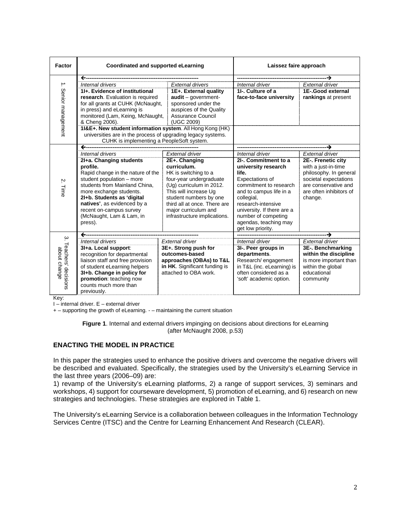| <b>Factor</b>       | Coordinated and supported eLearning                          |                                                | Laissez faire approach     |                         |  |
|---------------------|--------------------------------------------------------------|------------------------------------------------|----------------------------|-------------------------|--|
|                     | $\leftarrow$                                                 |                                                |                            |                         |  |
| $\rightarrow$       | Internal drivers                                             | <b>External drivers</b>                        | Internal driver            | <b>External driver</b>  |  |
|                     | 11+. Evidence of institutional                               | 1E+. External quality                          | 11-. Culture of a          | 1E-Good external        |  |
|                     | research. Evaluation is required                             | $audit - qover$                                | face-to-face university    | rankings at present     |  |
|                     | for all grants at CUHK (McNaught,                            | sponsored under the<br>auspices of the Quality |                            |                         |  |
|                     | in press) and eLearning is                                   |                                                |                            |                         |  |
|                     | monitored (Lam, Keing, McNaught, Assurance Council           |                                                |                            |                         |  |
|                     | & Cheng 2006).<br>(UGC 2009)                                 |                                                |                            |                         |  |
|                     | 11&E+. New student information system. All Hong Kong (HK)    |                                                |                            |                         |  |
| Senior management   | universities are in the process of upgrading legacy systems. |                                                |                            |                         |  |
|                     | CUHK is implementing a PeopleSoft system.                    |                                                |                            |                         |  |
|                     |                                                              |                                                |                            |                         |  |
|                     | Internal drivers                                             | External driver                                | Internal driver            | External driver         |  |
|                     | 21+a. Changing students                                      | 2E+. Changing                                  | 2I-. Commitment to a       | 2E-. Frenetic city      |  |
|                     | profile.                                                     | curriculum.                                    | university research        | with a just-in-time     |  |
|                     | Rapid change in the nature of the                            | HK is switching to a                           | life.                      | philosophy. In general  |  |
|                     | student population - more                                    | four-year undergraduate                        | Expectations of            | societal expectations   |  |
| ΙŅ.                 | students from Mainland China,                                | (Ug) curriculum in 2012.                       | commitment to research     | are conservative and    |  |
| Time                | more exchange students.                                      | This will increase Uq                          | and to campus life in a    | are often inhibitors of |  |
|                     | 2I+b. Students as 'digital                                   | student numbers by one                         | collegial,                 | change.                 |  |
|                     | natives', as evidenced by a                                  | third all at once. There are                   | research-intensive         |                         |  |
|                     |                                                              |                                                |                            |                         |  |
|                     | recent on-campus survey                                      | major curriculum and                           | university. If there are a |                         |  |
|                     | (McNaught, Lam & Lam, in                                     | infrastructure implications.                   | number of competing        |                         |  |
|                     | press).                                                      |                                                | agendas, teaching may      |                         |  |
|                     |                                                              |                                                | get low priority.          |                         |  |
| $\omega$            |                                                              |                                                |                            |                         |  |
| Teachers' decisions | Internal drivers                                             | <b>External driver</b>                         | Internal driver            | <b>External driver</b>  |  |
|                     | 3I+a. Local support:                                         | 3E+. Strong push for                           | 3I-. Peer groups in        | 3E-. Benchmarking       |  |
|                     | recognition for departmental                                 | outcomes-based                                 | departments.               | within the discipline   |  |
|                     | liaison staff and free provision                             | approaches (OBAs) to T&L                       | Research/ engagement       | is more important than  |  |
| about change        | of student eLearning helpers                                 | in HK. Significant funding is                  | in T&L (inc. eLearning) is | within the global       |  |
|                     | 3I+b. Change in policy for                                   | attached to OBA work.                          | often considered as a      | educational             |  |
|                     | promotion: teaching now                                      |                                                | 'soft' academic option.    | community               |  |
|                     | counts much more than                                        |                                                |                            |                         |  |
|                     | previously.                                                  |                                                |                            |                         |  |

Key:

I – internal driver. E – external driver

+ – supporting the growth of eLearning. - – maintaining the current situation

**Figure 1**. Internal and external drivers impinging on decisions about directions for eLearning (after McNaught 2008, p.53)

#### **ENACTING THE MODEL IN PRACTICE**

In this paper the strategies used to enhance the positive drivers and overcome the negative drivers will be described and evaluated. Specifically, the strategies used by the University's eLearning Service in the last three years (2006–09) are:

1) revamp of the University's eLearning platforms, 2) a range of support services, 3) seminars and workshops, 4) support for courseware development, 5) promotion of eLearning, and 6) research on new strategies and technologies. These strategies are explored in Table 1.

The University's eLearning Service is a collaboration between colleagues in the Information Technology Services Centre (ITSC) and the Centre for Learning Enhancement And Research (CLEAR).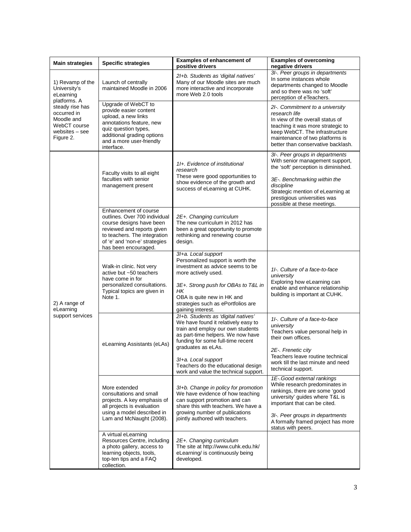| <b>Main strategies</b>                                                                      | <b>Specific strategies</b>                                                                                                                                                                                | <b>Examples of enhancement of</b><br>positive drivers                                                                                                                                                                                                                                                                 | <b>Examples of overcoming</b><br>negative drivers                                                                                                                                                                                                                 |
|---------------------------------------------------------------------------------------------|-----------------------------------------------------------------------------------------------------------------------------------------------------------------------------------------------------------|-----------------------------------------------------------------------------------------------------------------------------------------------------------------------------------------------------------------------------------------------------------------------------------------------------------------------|-------------------------------------------------------------------------------------------------------------------------------------------------------------------------------------------------------------------------------------------------------------------|
| 1) Revamp of the<br>University's<br>eLearning<br>platforms. A                               | Launch of centrally<br>maintained Moodle in 2006                                                                                                                                                          | 2I+b. Students as 'digital natives'<br>Many of our Moodle sites are much<br>more interactive and incorporate<br>more Web 2.0 tools                                                                                                                                                                                    | 3I-. Peer groups in departments<br>In some instances whole<br>departments changed to Moodle<br>and so there was no 'soft'<br>perception of eTeachers.                                                                                                             |
| steady rise has<br>occurred in<br>Moodle and<br>WebCT course<br>websites - see<br>Figure 2. | Upgrade of WebCT to<br>provide easier content<br>upload, a new links<br>annotations feature, new<br>quiz question types,<br>additional grading options<br>and a more user-friendly<br>interface.          |                                                                                                                                                                                                                                                                                                                       | 21-. Commitment to a university<br>research life<br>In view of the overall status of<br>teaching it was more strategic to<br>keep WebCT. The infrastructure<br>maintenance of two platforms is<br>better than conservative backlash.                              |
|                                                                                             | Faculty visits to all eight<br>faculties with senior<br>management present                                                                                                                                | 11+. Evidence of institutional<br>research<br>These were good opportunities to<br>show evidence of the growth and<br>success of eLearning at CUHK.                                                                                                                                                                    | 3I-. Peer groups in departments<br>With senior management support,<br>the 'soft' perception is diminished.<br>3E-. Benchmarking within the<br>discipline<br>Strategic mention of eLearning at<br>prestigious universities was<br>possible at these meetings.      |
|                                                                                             | Enhancement of course<br>outlines. Over 700 individual<br>course designs have been<br>reviewed and reports given<br>to teachers. The integration<br>of 'e' and 'non-e' strategies<br>has been encouraged. | 2E+. Changing curriculum<br>The new curriculum in 2012 has<br>been a great opportunity to promote<br>rethinking and renewing course<br>design.                                                                                                                                                                        |                                                                                                                                                                                                                                                                   |
| 2) A range of<br>eLearning                                                                  | Walk-in clinic. Not very<br>active but ~50 teachers<br>have come in for<br>personalized consultations.<br>Typical topics are given in<br>Note 1.                                                          | 3/+a. Local support<br>Personalized support is worth the<br>investment as advice seems to be<br>more actively used.<br>3E+. Strong push for OBAs to T&L in<br>НK<br>OBA is quite new in HK and<br>strategies such as ePortfolios are<br>gaining interest.                                                             | 11-. Culture of a face-to-face<br>university<br>Exploring how eLearning can<br>enable and enhance relationship<br>building is important at CUHK.                                                                                                                  |
| support services                                                                            | eLearning Assistants (eLAs)                                                                                                                                                                               | 21+b. Students as 'digital natives'<br>We have found it relatively easy to<br>train and employ our own students<br>as part-time helpers. We now have<br>funding for some full-time recent<br>graduates as eLAs.<br>3/+a. Local support<br>Teachers do the educational design<br>work and value the technical support. | 11-. Culture of a face-to-face<br>university<br>Teachers value personal help in<br>their own offices.<br>2E-. Frenetic city<br>Teachers leave routine technical<br>work till the last minute and need<br>technical support.                                       |
|                                                                                             | More extended<br>consultations and small<br>projects. A key emphasis of<br>all projects is evaluation<br>using a model described in<br>Lam and McNaught (2008).                                           | 3I+b. Change in policy for promotion<br>We have evidence of how teaching<br>can support promotion and can<br>share this with teachers. We have a<br>growing number of publications<br>jointly authored with teachers.                                                                                                 | 1E-. Good external rankings<br>While research predominates in<br>rankings, there are some 'good<br>university' guides where T&L is<br>important that can be cited.<br>3I-. Peer groups in departments<br>A formally framed project has more<br>status with peers. |
|                                                                                             | A virtual eLearning<br>Resources Centre, including<br>a photo gallery, access to<br>learning objects, tools,<br>top-ten tips and a FAQ<br>collection.                                                     | 2E+. Changing curriculum<br>The site at http://www.cuhk.edu.hk/<br>eLearning/ is continuously being<br>developed.                                                                                                                                                                                                     |                                                                                                                                                                                                                                                                   |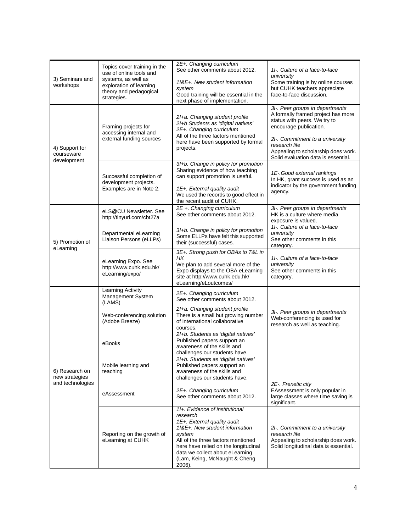| 3) Seminars and<br>workshops     | Topics cover training in the<br>use of online tools and<br>systems, as well as<br>exploration of learning<br>theory and pedagogical<br>strategies. | 2E+. Changing curriculum<br>See other comments about 2012.<br>11&E+. New student information<br>system<br>Good training will be essential in the<br>next phase of implementation.                                                                                                 | 11-. Culture of a face-to-face<br>university<br>Some training is by online courses<br>but CUHK teachers appreciate<br>face-to-face discussion.                                                                                                                    |
|----------------------------------|----------------------------------------------------------------------------------------------------------------------------------------------------|-----------------------------------------------------------------------------------------------------------------------------------------------------------------------------------------------------------------------------------------------------------------------------------|-------------------------------------------------------------------------------------------------------------------------------------------------------------------------------------------------------------------------------------------------------------------|
| 4) Support for<br>courseware     | Framing projects for<br>accessing internal and<br>external funding sources                                                                         | 21+a. Changing student profile<br>2I+b Students as 'digital natives'<br>2E+. Changing curriculum<br>All of the three factors mentioned<br>here have been supported by formal<br>projects.                                                                                         | 3I-. Peer groups in departments<br>A formally framed project has more<br>status with peers. We try to<br>encourage publication.<br>21-. Commitment to a university<br>research life<br>Appealing to scholarship does work.<br>Solid evaluation data is essential. |
| development                      | Successful completion of<br>development projects.<br>Examples are in Note 2.                                                                       | 3I+b. Change in policy for promotion<br>Sharing evidence of how teaching<br>can support promotion is useful.<br>1E+. External quality audit<br>We used the records to good effect in<br>the recent audit of CUHK.                                                                 | 1E-. Good external rankings<br>In HK, grant success is used as an<br>indicator by the government funding<br>agency.                                                                                                                                               |
|                                  | eLS@CU Newsletter, See<br>http://tinyurl.com/cbt27a                                                                                                | 2E +. Changing curriculum<br>See other comments about 2012.                                                                                                                                                                                                                       | 3I-. Peer groups in departments<br>HK is a culture where media<br>exposure is valued.                                                                                                                                                                             |
| 5) Promotion of<br>eLearning     | Departmental eLearning<br>Liaison Persons (eLLPs)                                                                                                  | 3I+b. Change in policy for promotion<br>Some ELLPs have felt this supported<br>their (successful) cases.                                                                                                                                                                          | 11-. Culture of a face-to-face<br>university<br>See other comments in this<br>category.                                                                                                                                                                           |
|                                  | eLearning Expo. See<br>http://www.cuhk.edu.hk/<br>eLearning/expo/                                                                                  | 3E+. Strong push for OBAs to T&L in<br>HK<br>We plan to add several more of the<br>Expo displays to the OBA eLearning<br>site at http://www.cuhk.edu.hk/<br>eLearning/eLoutcomes/                                                                                                 | 11-. Culture of a face-to-face<br>university<br>See other comments in this<br>category.                                                                                                                                                                           |
|                                  | Learning Activity<br>Management System<br>(LAMS)                                                                                                   | 2E+. Changing curriculum<br>See other comments about 2012.                                                                                                                                                                                                                        |                                                                                                                                                                                                                                                                   |
|                                  | Web-conferencing solution<br>(Adobe Breeze)                                                                                                        | 21+a. Changing student profile<br>There is a small but growing number<br>of international collaborative<br>courses.                                                                                                                                                               | 3I-. Peer groups in departments<br>Web-conferencing is used for<br>research as well as teaching.                                                                                                                                                                  |
|                                  | eBooks                                                                                                                                             | 21+b. Students as 'digital natives'<br>Published papers support an<br>awareness of the skills and<br>challenges our students have.                                                                                                                                                |                                                                                                                                                                                                                                                                   |
| 6) Research on<br>new strategies | Mobile learning and<br>teaching                                                                                                                    | 21+b. Students as 'digital natives'<br>Published papers support an<br>awareness of the skills and<br>challenges our students have.                                                                                                                                                |                                                                                                                                                                                                                                                                   |
| and technologies                 | eAssessment                                                                                                                                        | 2E+. Changing curriculum<br>See other comments about 2012.                                                                                                                                                                                                                        | 2E-. Frenetic city<br>EAssessment is only popular in<br>large classes where time saving is<br>significant.                                                                                                                                                        |
|                                  | Reporting on the growth of<br>eLearning at CUHK                                                                                                    | 11+. Evidence of institutional<br>research<br>1E+. External quality audit<br>1I&E+. New student information<br>system<br>All of the three factors mentioned<br>here have relied on the longitudinal<br>data we collect about eLearning<br>(Lam, Keing, McNaught & Cheng<br>2006). | 21-. Commitment to a university<br>research life<br>Appealing to scholarship does work.<br>Solid longitudinal data is essential.                                                                                                                                  |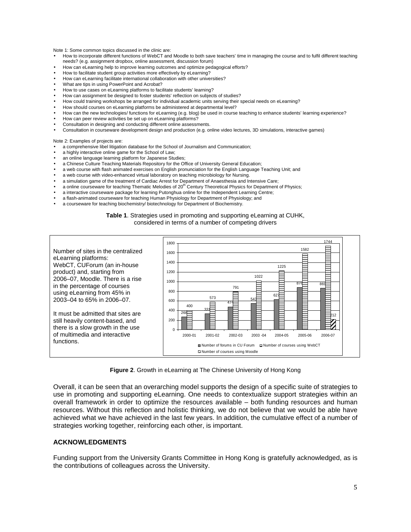Note 1: Some common topics discussed in the clinic are:

- How to incorporate different functions of WebCT and Moodle to both save teachers' time in managing the course and to fulfil different teaching needs? (e.g. assignment dropbox, online assessment, discussion forum)
- How can eLearning help to improve learning outcomes and optimize pedagogical efforts?
- How to facilitate student group activities more effectively by eLearning?
- How can eLearning facilitate international collaboration with other universities?
- What are tips in using PowerPoint and Acrobat?
- How to use cases on eLearning platforms to facilitate students' learning?
- How can assignment be designed to foster students' reflection on subjects of studies?
- How could training workshops be arranged for individual academic units serving their special needs on eLearning?
- How should courses on eLearning platforms be administered at departmental level?
- How can the new technologies/ functions for eLearning (e.g. blog) be used in course teaching to enhance students' learning experience?
- How can peer review activities be set up on eLearning platforms?
- Consultation in designing and conducting different online assessments.
- Consultation in courseware development design and production (e.g. online video lectures, 3D simulations, interactive games)

Note 2: Examples of projects are:

- a comprehensive libel litigation database for the School of Journalism and Communication;
- a highly interactive online game for the School of Law:
- an online language learning platform for Japanese Studies;
- a Chinese Culture Teaching Materials Repository for the Office of University General Education;
- a web course with flash animated exercises on English pronunciation for the English Language Teaching Unit; and
- a web course with video-enhanced virtual laboratory on teaching microbiology for Nursing.
- a simulation game of the treatment of Cardiac Arrest for Department of Anaesthesia and Intensive Care;
- a online courseware for teaching Thematic Melodies of 20<sup>th</sup> Century Theoretical Physics for Department of Physics;
- a interactive courseware package for learning Putonghua online for the Independent Learning Centre;
- a flash-animated courseware for teaching Human Physiology for Department of Physiology; and
- a courseware for teaching biochemistry/ biotechnology for Department of Biochemistry.

#### **Table 1**. Strategies used in promoting and supporting eLearning at CUHK, considered in terms of a number of competing drivers



**Figure 2**. Growth in eLearning at The Chinese University of Hong Kong

Overall, it can be seen that an overarching model supports the design of a specific suite of strategies to use in promoting and supporting eLearning. One needs to contextualize support strategies within an overall framework in order to optimize the resources available – both funding resources and human resources. Without this reflection and holistic thinking, we do not believe that we would be able have achieved what we have achieved in the last few years. In addition, the cumulative effect of a number of strategies working together, reinforcing each other, is important.

#### **ACKNOWLEDGMENTS**

Funding support from the University Grants Committee in Hong Kong is gratefully acknowledged, as is the contributions of colleagues across the University.